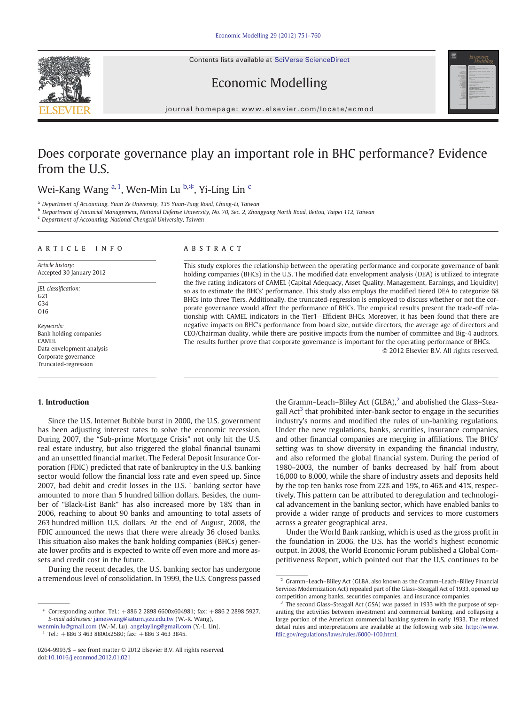Contents lists available at [SciVerse ScienceDirect](http://www.sciencedirect.com/science/journal/02649993)





Economic Modelling

journal homepage: www.elsevier.com/locate/ecmod

# Does corporate governance play an important role in BHC performance? Evidence from the U.S.

## Wei-Kang Wang <sup>a, 1</sup>, Wen-Min Lu <sup>b,\*</sup>, Yi-Ling Lin <sup>c</sup>

<sup>a</sup> Department of Accounting, Yuan Ze University, 135 Yuan-Tung Road, Chung-Li, Taiwan

<sup>b</sup> Department of Financial Management, National Defense University, No. 70, Sec. 2, Zhongyang North Road, Beitou, Taipei 112, Taiwan

<sup>c</sup> Department of Accounting, National Chengchi University, Taiwan

### article info abstract

Article history: Accepted 30 January 2012

JEL classification: G21  $C34$ O16

Keywords: Bank holding companies CAMEL Data envelopment analysis Corporate governance Truncated-regression

### 1. Introduction

Since the U.S. Internet Bubble burst in 2000, the U.S. government has been adjusting interest rates to solve the economic recession. During 2007, the "Sub-prime Mortgage Crisis" not only hit the U.S. real estate industry, but also triggered the global financial tsunami and an unsettled financial market. The Federal Deposit Insurance Corporation (FDIC) predicted that rate of bankruptcy in the U.S. banking sector would follow the financial loss rate and even speed up. Since 2007, bad debit and credit losses in the U.S. ' banking sector have amounted to more than 5 hundred billion dollars. Besides, the number of "Black-List Bank" has also increased more by 18% than in 2006, reaching to about 90 banks and amounting to total assets of 263 hundred million U.S. dollars. At the end of August, 2008, the FDIC announced the news that there were already 36 closed banks. This situation also makes the bank holding companies (BHCs) generate lower profits and is expected to write off even more and more assets and credit cost in the future.

During the recent decades, the U.S. banking sector has undergone a tremendous level of consolidation. In 1999, the U.S. Congress passed

This study explores the relationship between the operating performance and corporate governance of bank holding companies (BHCs) in the U.S. The modified data envelopment analysis (DEA) is utilized to integrate the five rating indicators of CAMEL (Capital Adequacy, Asset Quality, Management, Earnings, and Liquidity) so as to estimate the BHCs' performance. This study also employs the modified tiered DEA to categorize 68 BHCs into three Tiers. Additionally, the truncated-regression is employed to discuss whether or not the corporate governance would affect the performance of BHCs. The empirical results present the trade-off relationship with CAMEL indicators in the Tier1—Efficient BHCs. Moreover, it has been found that there are negative impacts on BHC's performance from board size, outside directors, the average age of directors and CEO/Chairman duality, while there are positive impacts from the number of committee and Big-4 auditors. The results further prove that corporate governance is important for the operating performance of BHCs.

© 2012 Elsevier B.V. All rights reserved.

the Gramm–Leach–Bliley Act (GLBA), $<sup>2</sup>$  and abolished the Glass–Stea-</sup> gall  $Act<sup>3</sup>$  that prohibited inter-bank sector to engage in the securities industry's norms and modified the rules of un-banking regulations. Under the new regulations, banks, securities, insurance companies, and other financial companies are merging in affiliations. The BHCs' setting was to show diversity in expanding the financial industry, and also reformed the global financial system. During the period of 1980–2003, the number of banks decreased by half from about 16,000 to 8,000, while the share of industry assets and deposits held by the top ten banks rose from 22% and 19%, to 46% and 41%, respectively. This pattern can be attributed to deregulation and technological advancement in the banking sector, which have enabled banks to provide a wider range of products and services to more customers across a greater geographical area.

Under the World Bank ranking, which is used as the gross profit in the foundation in 2006, the U.S. has the world's highest economic output. In 2008, the World Economic Forum published a Global Competitiveness Report, which pointed out that the U.S. continues to be

<sup>⁎</sup> Corresponding author. Tel.: +886 2 2898 6600x604981; fax: +886 2 2898 5927. E-mail addresses: [jameswang@saturn.yzu.edu.tw](mailto:jameswang@saturn.yzu.edu.tw) (W.-K. Wang),

[wenmin.lu@gmail.com](mailto:wenmin.lu@gmail.com) (W.-M. Lu), [angelayling@gmail.com](mailto:angelayling@gmail.com) (Y.-L. Lin).

Tel.:  $+88634638800x2580$ ; fax:  $+88634633845$ .

<sup>0264-9993/\$</sup> – see front matter © 2012 Elsevier B.V. All rights reserved. doi:[10.1016/j.econmod.2012.01.021](http://dx.doi.org/10.1016/j.econmod.2012.01.021)

 $^2\,$  Gramm–Leach–Bliley Act (GLBA, also known as the Gramm–Leach–Bliley Financial Services Modernization Act) repealed part of the Glass–Steagall Act of 1933, opened up competition among banks, securities companies, and insurance companies.

The second Glass–Steagall Act (GSA) was passed in 1933 with the purpose of separating the activities between investment and commercial banking, and collapsing a large portion of the American commercial banking system in early 1933. The related detail rules and interpretations are available at the following web site. [http://www.](http://www.fdic.gov/regulations/laws/rules/6000-100.html) [fdic.gov/regulations/laws/rules/6000-100.html](http://www.fdic.gov/regulations/laws/rules/6000-100.html).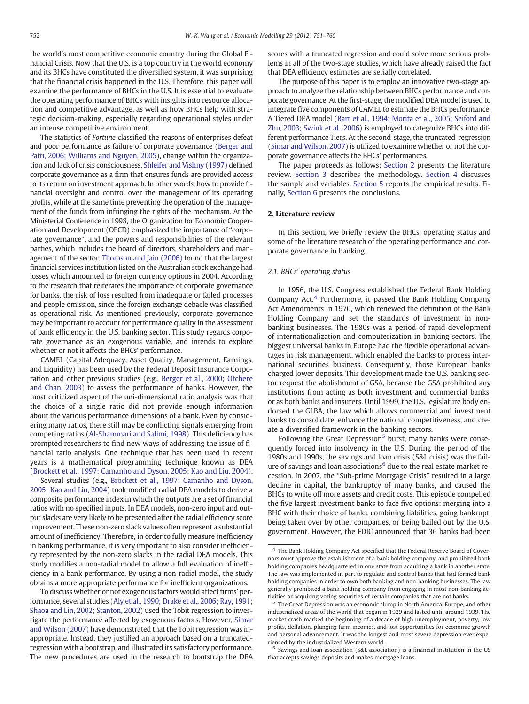the world's most competitive economic country during the Global Financial Crisis. Now that the U.S. is a top country in the world economy and its BHCs have constituted the diversified system, it was surprising that the financial crisis happened in the U.S. Therefore, this paper will examine the performance of BHCs in the U.S. It is essential to evaluate the operating performance of BHCs with insights into resource allocation and competitive advantage, as well as how BHCs help with strategic decision-making, especially regarding operational styles under an intense competitive environment.

The statistics of Fortune classified the reasons of enterprises defeat and poor performance as failure of corporate governance ([Berger and](#page--1-0) [Patti, 2006; Williams and Nguyen, 2005](#page--1-0)), change within the organization and lack of crisis consciousness. [Shleifer and Vishny \(1997\)](#page--1-0) defined corporate governance as a firm that ensures funds are provided access to its return on investment approach. In other words, how to provide financial oversight and control over the management of its operating profits, while at the same time preventing the operation of the management of the funds from infringing the rights of the mechanism. At the Ministerial Conference in 1998, the Organization for Economic Cooperation and Development (OECD) emphasized the importance of "corporate governance", and the powers and responsibilities of the relevant parties, which includes the board of directors, shareholders and management of the sector. [Thomson and Jain \(2006\)](#page--1-0) found that the largest financial services institution listed on the Australian stock exchange had losses which amounted to foreign currency options in 2004. According to the research that reiterates the importance of corporate governance for banks, the risk of loss resulted from inadequate or failed processes and people omission, since the foreign exchange debacle was classified as operational risk. As mentioned previously, corporate governance may be important to account for performance quality in the assessment of bank efficiency in the U.S. banking sector. This study regards corporate governance as an exogenous variable, and intends to explore whether or not it affects the BHCs' performance.

CAMEL (Capital Adequacy, Asset Quality, Management, Earnings, and Liquidity) has been used by the Federal Deposit Insurance Corporation and other previous studies (e.g., [Berger et al., 2000; Otchere](#page--1-0) [and Chan, 2003\)](#page--1-0) to assess the performance of banks. However, the most criticized aspect of the uni-dimensional ratio analysis was that the choice of a single ratio did not provide enough information about the various performance dimensions of a bank. Even by considering many ratios, there still may be conflicting signals emerging from competing ratios [\(Al-Shammari and Salimi, 1998\)](#page--1-0). This deficiency has prompted researchers to find new ways of addressing the issue of financial ratio analysis. One technique that has been used in recent years is a mathematical programming technique known as DEA [\(Brockett et al., 1997; Camanho and Dyson, 2005; Kao and Liu, 2004](#page--1-0)).

Several studies (e.g., [Brockett et al., 1997; Camanho and Dyson,](#page--1-0) [2005; Kao and Liu, 2004](#page--1-0)) took modified radial DEA models to derive a composite performance index in which the outputs are a set of financial ratios with no specified inputs. In DEA models, non-zero input and output slacks are very likely to be presented after the radial efficiency score improvement. These non-zero slack values often represent a substantial amount of inefficiency. Therefore, in order to fully measure inefficiency in banking performance, it is very important to also consider inefficiency represented by the non-zero slacks in the radial DEA models. This study modifies a non-radial model to allow a full evaluation of inefficiency in a bank performance. By using a non-radial model, the study obtains a more appropriate performance for inefficient organizations.

To discuss whether or not exogenous factors would affect firms' performance, several studies ([Aly et al., 1990; Drake et al., 2006; Ray, 1991;](#page--1-0) [Shaoa and Lin, 2002; Stanton, 2002\)](#page--1-0) used the Tobit regression to investigate the performance affected by exogenous factors. However, [Simar](#page--1-0) [and Wilson \(2007\)](#page--1-0) have demonstrated that the Tobit regression was inappropriate. Instead, they justified an approach based on a truncatedregression with a bootstrap, and illustrated its satisfactory performance. The new procedures are used in the research to bootstrap the DEA scores with a truncated regression and could solve more serious problems in all of the two-stage studies, which have already raised the fact that DEA efficiency estimates are serially correlated.

The purpose of this paper is to employ an innovative two-stage approach to analyze the relationship between BHCs performance and corporate governance. At the first-stage, the modified DEA model is used to integrate five components of CAMEL to estimate the BHCs performance. A Tiered DEA model [\(Barr et al., 1994; Morita et al., 2005; Seiford and](#page--1-0) [Zhu, 2003; Swink et al., 2006\)](#page--1-0) is employed to categorize BHCs into different performance Tiers. At the second-stage, the truncated-regression [\(Simar and Wilson, 2007\)](#page--1-0) is utilized to examine whether or not the corporate governance affects the BHCs' performances.

The paper proceeds as follows: Section 2 presents the literature review. [Section 3](#page--1-0) describes the methodology. [Section 4](#page--1-0) discusses the sample and variables. [Section 5](#page--1-0) reports the empirical results. Finally, [Section 6](#page--1-0) presents the conclusions.

### 2. Literature review

In this section, we briefly review the BHCs' operating status and some of the literature research of the operating performance and corporate governance in banking.

### 2.1. BHCs' operating status

In 1956, the U.S. Congress established the Federal Bank Holding Company Act.<sup>4</sup> Furthermore, it passed the Bank Holding Company Act Amendments in 1970, which renewed the definition of the Bank Holding Company and set the standards of investment in nonbanking businesses. The 1980s was a period of rapid development of internationalization and computerization in banking sectors. The biggest universal banks in Europe had the flexible operational advantages in risk management, which enabled the banks to process international securities business. Consequently, those European banks charged lower deposits. This development made the U.S. banking sector request the abolishment of GSA, because the GSA prohibited any institutions from acting as both investment and commercial banks, or as both banks and insurers. Until 1999, the U.S. legislature body endorsed the GLBA, the law which allows commercial and investment banks to consolidate, enhance the national competitiveness, and create a diversified framework in the banking sectors.

Following the Great Depression<sup>5</sup> burst, many banks were consequently forced into insolvency in the U.S. During the period of the 1980s and 1990s, the savings and loan crisis (S&L crisis) was the failure of savings and loan associations $<sup>6</sup>$  due to the real estate market re-</sup> cession. In 2007, the "Sub-prime Mortgage Crisis" resulted in a large decline in capital, the bankruptcy of many banks, and caused the BHCs to write off more assets and credit costs. This episode compelled the five largest investment banks to face five options: merging into a BHC with their choice of banks, combining liabilities, going bankrupt, being taken over by other companies, or being bailed out by the U.S. government. However, the FDIC announced that 36 banks had been

<sup>4</sup> The Bank Holding Company Act specified that the Federal Reserve Board of Governors must approve the establishment of a bank holding company, and prohibited bank holding companies headquartered in one state from acquiring a bank in another state. The law was implemented in part to regulate and control banks that had formed bank holding companies in order to own both banking and non-banking businesses. The law generally prohibited a bank holding company from engaging in most non-banking activities or acquiring voting securities of certain companies that are not banks.

The Great Depression was an economic slump in North America, Europe, and other industrialized areas of the world that began in 1929 and lasted until around 1939. The market crash marked the beginning of a decade of high unemployment, poverty, low profits, deflation, plunging farm incomes, and lost opportunities for economic growth and personal advancement. It was the longest and most severe depression ever experienced by the industrialized Western world.

<sup>6</sup> Savings and loan association (S&L association) is a financial institution in the US that accepts savings deposits and makes mortgage loans.